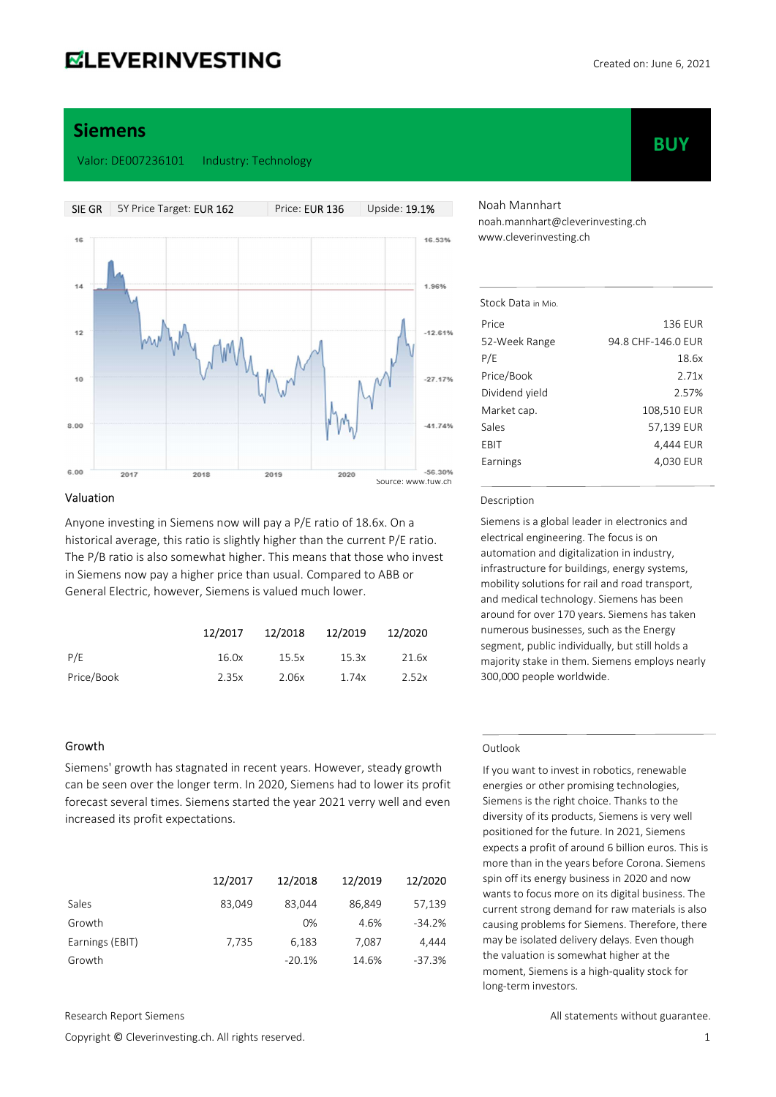**BUY** 

## Siemens

Valor: DE007236101 Industry: Technology



#### Valuation

Anyone investing in Siemens now will pay a P/E ratio of 18.6x. On a historical average, this ratio is slightly higher than the current P/E ratio. The P/B ratio is also somewhat higher. This means that those who invest in Siemens now pay a higher price than usual. Compared to ABB or General Electric, however, Siemens is valued much lower.

|            | 12/2017 | 12/2018 | 12/2019 | 12/2020 |
|------------|---------|---------|---------|---------|
| P/F        | 16.0x   | 15.5x   | 15.3x   | 21.6x   |
| Price/Book | 2.35x   | 2.06x   | 1.74x   | 2.52x   |

#### Growth

Siemens' growth has stagnated in recent years. However, steady growth can be seen over the longer term. In 2020, Siemens had to lower its profit forecast several times. Siemens started the year 2021 verry well and even increased its profit expectations.

|                 | 12/2017 | 12/2018  | 12/2019 | 12/2020  |
|-----------------|---------|----------|---------|----------|
| Sales           | 83.049  | 83.044   | 86.849  | 57,139   |
| Growth          |         | 0%       | 4.6%    | $-34.2%$ |
| Earnings (EBIT) | 7,735   | 6,183    | 7,087   | 4.444    |
| Growth          |         | $-20.1%$ | 14.6%   | $-37.3%$ |

Copyright © Cleverinvesting.ch. All rights reserved. 1

Noah Mannhart noah.mannhart@cleverinvesting.ch www.cleverinvesting.ch

| Stock Data in Mio |                    |
|-------------------|--------------------|
| Price             | 136 FUR            |
| 52-Week Range     | 94.8 CHF-146.0 FUR |
| P/E               | 18.6x              |
| Price/Book        | 2.71x              |
| Dividend yield    | 2.57%              |
| Market cap.       | 108,510 EUR        |
| Sales             | 57,139 EUR         |
| EBIT              | 4.444 EUR          |
| Earnings          | 4.030 EUR          |
|                   |                    |

#### Description

Siemens is a global leader in electronics and electrical engineering. The focus is on automation and digitalization in industry, infrastructure for buildings, energy systems, mobility solutions for rail and road transport, and medical technology. Siemens has been around for over 170 years. Siemens has taken numerous businesses, such as the Energy segment, public individually, but still holds a majority stake in them. Siemens employs nearly 300,000 people worldwide.

#### Outlook

If you want to invest in robotics, renewable energies or other promising technologies, Siemens is the right choice. Thanks to the diversity of its products, Siemens is very well positioned for the future. In 2021, Siemens expects a profit of around 6 billion euros. This is more than in the years before Corona. Siemens spin off its energy business in 2020 and now wants to focus more on its digital business. The current strong demand for raw materials is also causing problems for Siemens. Therefore, there may be isolated delivery delays. Even though the valuation is somewhat higher at the moment, Siemens is a high-quality stock for long-term investors.

Research Report Siemens **All statements without guarantee.** All statements without guarantee.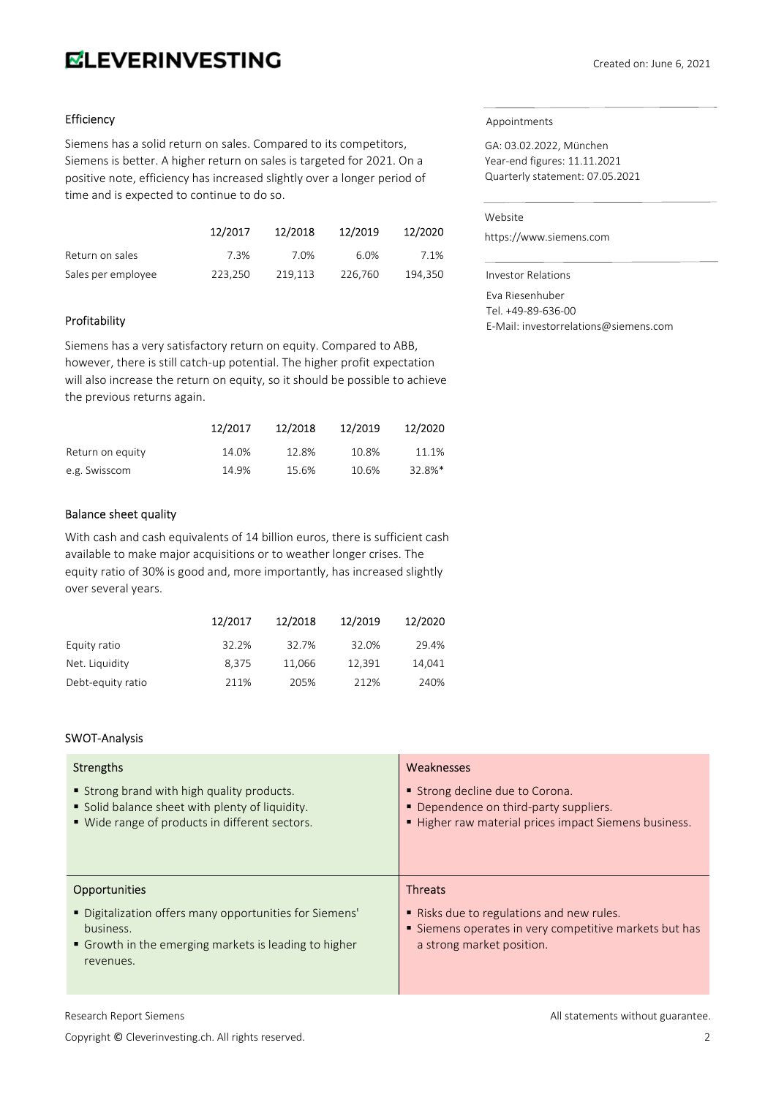# **ELEVERINVESTING**

#### Efficiency

Siemens has a solid return on sales. Compared to its competitors, Siemens is better. A higher return on sales is targeted for 2021. On a positive note, efficiency has increased slightly over a longer period of time and is expected to continue to do so.

|                    | 12/2017 | 12/2018 | 12/2019 | 12/2020 |
|--------------------|---------|---------|---------|---------|
| Return on sales    | 7.3%    | 7.0%    | 6.0%    | 7.1%    |
| Sales per employee | 223.250 | 219.113 | 226.760 | 194.350 |

#### Profitability

Siemens has a very satisfactory return on equity. Compared to ABB, however, there is still catch-up potential. The higher profit expectation will also increase the return on equity, so it should be possible to achieve the previous returns again.

|                  | 12/2017 | 12/2018 | 12/2019 | 12/2020    |
|------------------|---------|---------|---------|------------|
| Return on equity | 14.0%   | 12.8%   | 10.8%   | 11.1%      |
| e.g. Swisscom    | 14.9%   | 15.6%   | 10.6%   | $32.8\%$ * |

#### Balance sheet quality

With cash and cash equivalents of 14 billion euros, there is sufficient cash available to make major acquisitions or to weather longer crises. The equity ratio of 30% is good and, more importantly, has increased slightly over several years.

|                   | 12/2017 | 12/2018 | 12/2019 | 12/2020 |
|-------------------|---------|---------|---------|---------|
| Equity ratio      | 32.2%   | 32.7%   | 32.0%   | 29.4%   |
| Net. Liquidity    | 8.375   | 11.066  | 12.391  | 14.041  |
| Debt-equity ratio | 211%    | 205%    | 212%    | 240%    |

#### SWOT-Analysis

| <b>Strengths</b>                                                                                                                                                   | Weaknesses                                                                                                                                       |
|--------------------------------------------------------------------------------------------------------------------------------------------------------------------|--------------------------------------------------------------------------------------------------------------------------------------------------|
| ■ Strong brand with high quality products.                                                                                                                         | Strong decline due to Corona.                                                                                                                    |
| Solid balance sheet with plenty of liquidity.                                                                                                                      | • Dependence on third-party suppliers.                                                                                                           |
| ■ Wide range of products in different sectors.                                                                                                                     | Higher raw material prices impact Siemens business.                                                                                              |
| <b>Opportunities</b><br>" Digitalization offers many opportunities for Siemens'<br>business.<br>• Growth in the emerging markets is leading to higher<br>revenues. | <b>Threats</b><br>■ Risks due to regulations and new rules.<br>Siemens operates in very competitive markets but has<br>a strong market position. |

### Appointments

GA: 03.02.2022, München Year-end figures: 11.11.2021 Quarterly statement: 07.05.2021

#### Website

https://www.siemens.com

Investor Relations

Eva Riesenhuber Tel. +49-89-636-00 E-Mail: investorrelations@siemens.com

Copyright © Cleverinvesting.ch. All rights reserved. 2